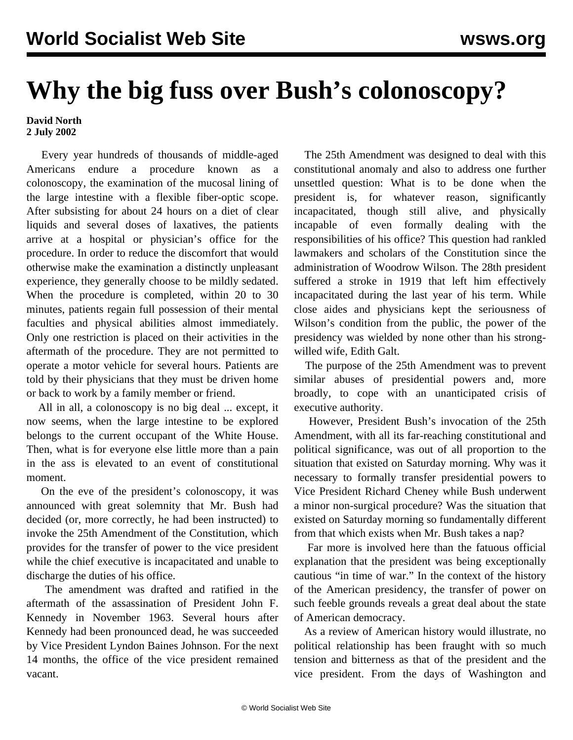## **Why the big fuss over Bush's colonoscopy?**

**David North 2 July 2002**

 Every year hundreds of thousands of middle-aged Americans endure a procedure known as a colonoscopy, the examination of the mucosal lining of the large intestine with a flexible fiber-optic scope. After subsisting for about 24 hours on a diet of clear liquids and several doses of laxatives, the patients arrive at a hospital or physician's office for the procedure. In order to reduce the discomfort that would otherwise make the examination a distinctly unpleasant experience, they generally choose to be mildly sedated. When the procedure is completed, within 20 to 30 minutes, patients regain full possession of their mental faculties and physical abilities almost immediately. Only one restriction is placed on their activities in the aftermath of the procedure. They are not permitted to operate a motor vehicle for several hours. Patients are told by their physicians that they must be driven home or back to work by a family member or friend.

 All in all, a colonoscopy is no big deal ... except, it now seems, when the large intestine to be explored belongs to the current occupant of the White House. Then, what is for everyone else little more than a pain in the ass is elevated to an event of constitutional moment.

 On the eve of the president's colonoscopy, it was announced with great solemnity that Mr. Bush had decided (or, more correctly, he had been instructed) to invoke the 25th Amendment of the Constitution, which provides for the transfer of power to the vice president while the chief executive is incapacitated and unable to discharge the duties of his office.

 The amendment was drafted and ratified in the aftermath of the assassination of President John F. Kennedy in November 1963. Several hours after Kennedy had been pronounced dead, he was succeeded by Vice President Lyndon Baines Johnson. For the next 14 months, the office of the vice president remained vacant.

 The 25th Amendment was designed to deal with this constitutional anomaly and also to address one further unsettled question: What is to be done when the president is, for whatever reason, significantly incapacitated, though still alive, and physically incapable of even formally dealing with the responsibilities of his office? This question had rankled lawmakers and scholars of the Constitution since the administration of Woodrow Wilson. The 28th president suffered a stroke in 1919 that left him effectively incapacitated during the last year of his term. While close aides and physicians kept the seriousness of Wilson's condition from the public, the power of the presidency was wielded by none other than his strongwilled wife, Edith Galt.

 The purpose of the 25th Amendment was to prevent similar abuses of presidential powers and, more broadly, to cope with an unanticipated crisis of executive authority.

 However, President Bush's invocation of the 25th Amendment, with all its far-reaching constitutional and political significance, was out of all proportion to the situation that existed on Saturday morning. Why was it necessary to formally transfer presidential powers to Vice President Richard Cheney while Bush underwent a minor non-surgical procedure? Was the situation that existed on Saturday morning so fundamentally different from that which exists when Mr. Bush takes a nap?

 Far more is involved here than the fatuous official explanation that the president was being exceptionally cautious "in time of war." In the context of the history of the American presidency, the transfer of power on such feeble grounds reveals a great deal about the state of American democracy.

 As a review of American history would illustrate, no political relationship has been fraught with so much tension and bitterness as that of the president and the vice president. From the days of Washington and